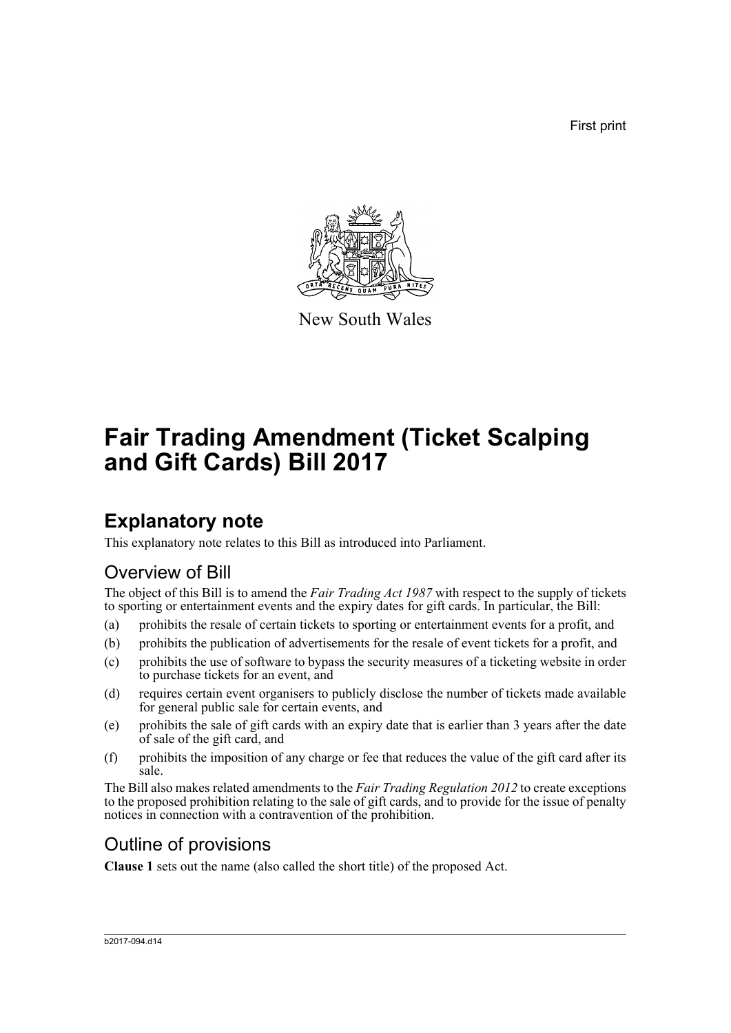First print



New South Wales

# **Fair Trading Amendment (Ticket Scalping and Gift Cards) Bill 2017**

# **Explanatory note**

This explanatory note relates to this Bill as introduced into Parliament.

## Overview of Bill

The object of this Bill is to amend the *Fair Trading Act 1987* with respect to the supply of tickets to sporting or entertainment events and the expiry dates for gift cards. In particular, the Bill:

- (a) prohibits the resale of certain tickets to sporting or entertainment events for a profit, and
- (b) prohibits the publication of advertisements for the resale of event tickets for a profit, and
- (c) prohibits the use of software to bypass the security measures of a ticketing website in order to purchase tickets for an event, and
- (d) requires certain event organisers to publicly disclose the number of tickets made available for general public sale for certain events, and
- (e) prohibits the sale of gift cards with an expiry date that is earlier than 3 years after the date of sale of the gift card, and
- (f) prohibits the imposition of any charge or fee that reduces the value of the gift card after its sale.

The Bill also makes related amendments to the *Fair Trading Regulation 2012* to create exceptions to the proposed prohibition relating to the sale of gift cards, and to provide for the issue of penalty notices in connection with a contravention of the prohibition.

## Outline of provisions

**Clause 1** sets out the name (also called the short title) of the proposed Act.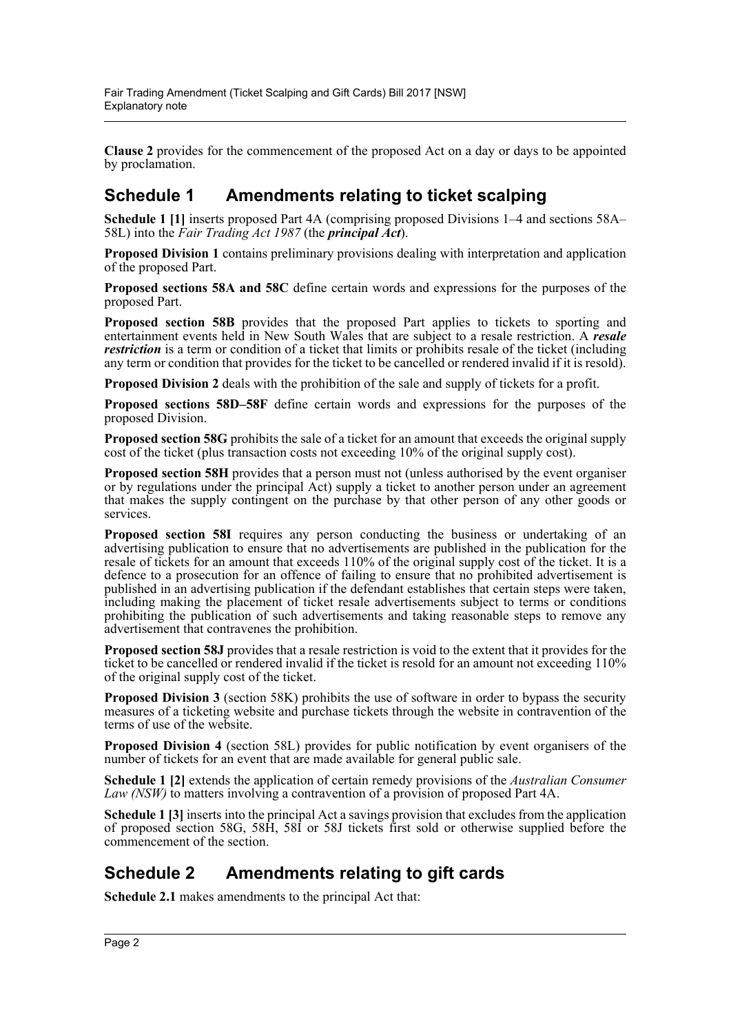**Clause 2** provides for the commencement of the proposed Act on a day or days to be appointed by proclamation.

## **Schedule 1 Amendments relating to ticket scalping**

**Schedule 1 [1]** inserts proposed Part 4A (comprising proposed Divisions 1–4 and sections 58A– 58L) into the *Fair Trading Act 1987* (the *principal Act*).

**Proposed Division 1** contains preliminary provisions dealing with interpretation and application of the proposed Part.

**Proposed sections 58A and 58C** define certain words and expressions for the purposes of the proposed Part.

**Proposed section 58B** provides that the proposed Part applies to tickets to sporting and entertainment events held in New South Wales that are subject to a resale restriction. A *resale restriction* is a term or condition of a ticket that limits or prohibits resale of the ticket (including any term or condition that provides for the ticket to be cancelled or rendered invalid if it is resold).

**Proposed Division 2** deals with the prohibition of the sale and supply of tickets for a profit.

**Proposed sections 58D–58F** define certain words and expressions for the purposes of the proposed Division.

**Proposed section 58G** prohibits the sale of a ticket for an amount that exceeds the original supply cost of the ticket (plus transaction costs not exceeding 10% of the original supply cost).

**Proposed section 58H** provides that a person must not (unless authorised by the event organiser or by regulations under the principal Act) supply a ticket to another person under an agreement that makes the supply contingent on the purchase by that other person of any other goods or services.

**Proposed section 58I** requires any person conducting the business or undertaking of an advertising publication to ensure that no advertisements are published in the publication for the resale of tickets for an amount that exceeds 110% of the original supply cost of the ticket. It is a defence to a prosecution for an offence of failing to ensure that no prohibited advertisement is published in an advertising publication if the defendant establishes that certain steps were taken, including making the placement of ticket resale advertisements subject to terms or conditions prohibiting the publication of such advertisements and taking reasonable steps to remove any advertisement that contravenes the prohibition.

**Proposed section 58J** provides that a resale restriction is void to the extent that it provides for the ticket to be cancelled or rendered invalid if the ticket is resold for an amount not exceeding 110% of the original supply cost of the ticket.

**Proposed Division 3** (section 58K) prohibits the use of software in order to bypass the security measures of a ticketing website and purchase tickets through the website in contravention of the terms of use of the website.

**Proposed Division 4** (section 58L) provides for public notification by event organisers of the number of tickets for an event that are made available for general public sale.

**Schedule 1 [2]** extends the application of certain remedy provisions of the *Australian Consumer Law (NSW)* to matters involving a contravention of a provision of proposed Part 4A.

**Schedule 1 [3]** inserts into the principal Act a savings provision that excludes from the application of proposed section 58G, 58H, 58I or 58J tickets first sold or otherwise supplied before the commencement of the section.

## **Schedule 2 Amendments relating to gift cards**

**Schedule 2.1** makes amendments to the principal Act that: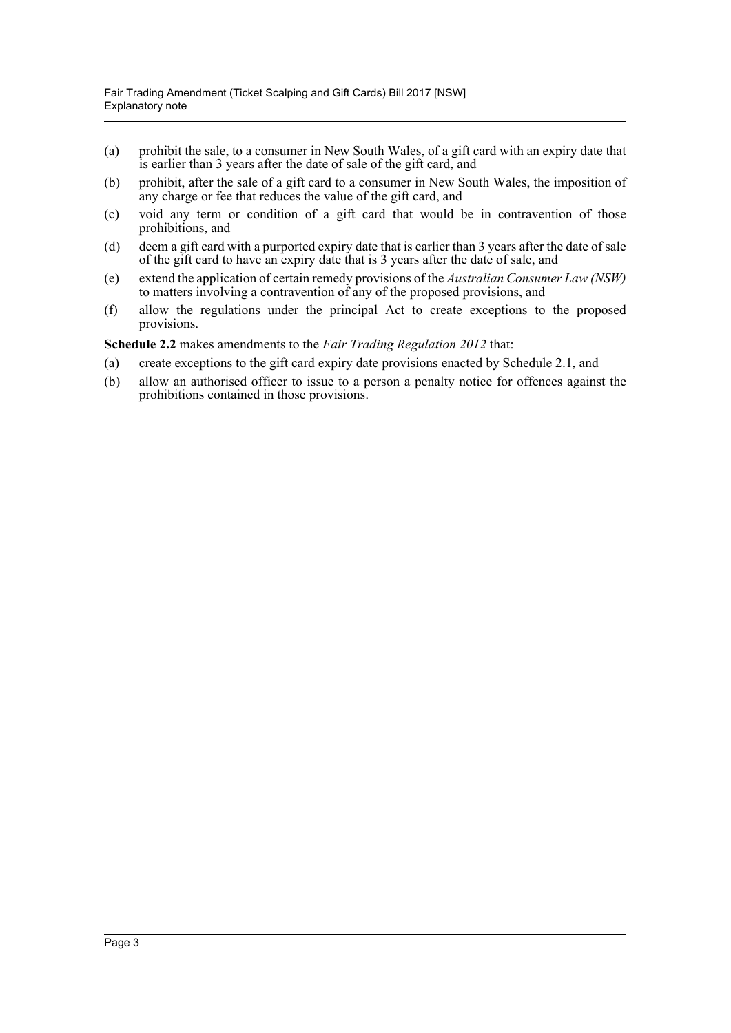- (a) prohibit the sale, to a consumer in New South Wales, of a gift card with an expiry date that is earlier than 3 years after the date of sale of the gift card, and
- (b) prohibit, after the sale of a gift card to a consumer in New South Wales, the imposition of any charge or fee that reduces the value of the gift card, and
- (c) void any term or condition of a gift card that would be in contravention of those prohibitions, and
- (d) deem a gift card with a purported expiry date that is earlier than 3 years after the date of sale of the gift card to have an expiry date that is 3 years after the date of sale, and
- (e) extend the application of certain remedy provisions of the *Australian Consumer Law (NSW)* to matters involving a contravention of any of the proposed provisions, and
- (f) allow the regulations under the principal Act to create exceptions to the proposed provisions.

**Schedule 2.2** makes amendments to the *Fair Trading Regulation 2012* that:

- (a) create exceptions to the gift card expiry date provisions enacted by Schedule 2.1, and
- (b) allow an authorised officer to issue to a person a penalty notice for offences against the prohibitions contained in those provisions.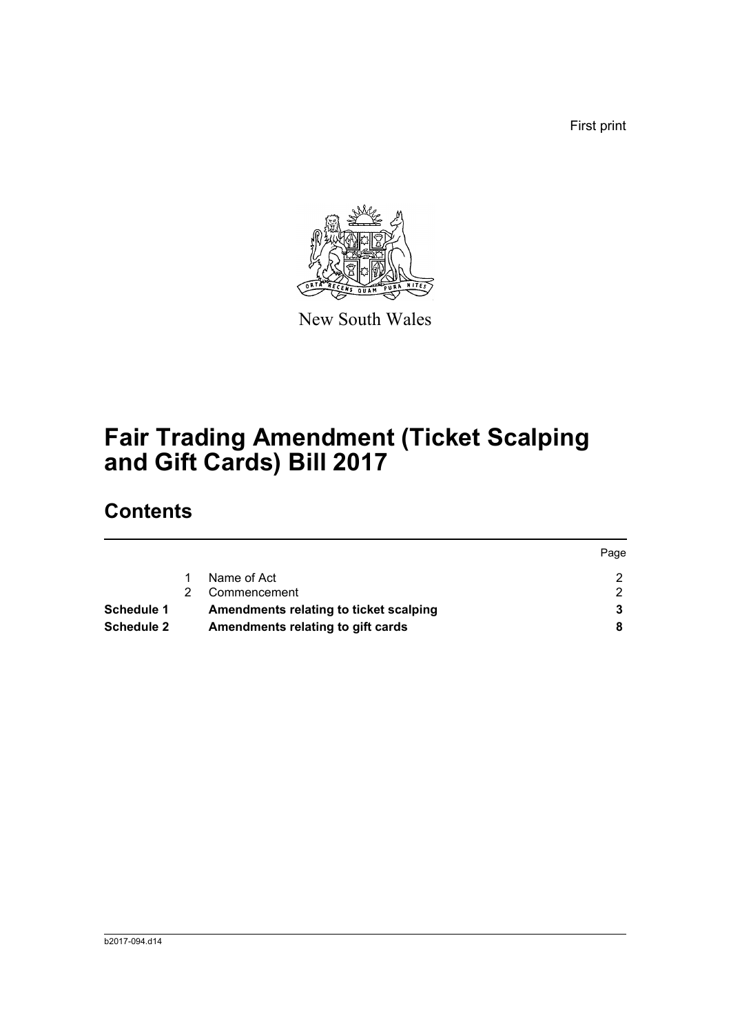First print



New South Wales

# **Fair Trading Amendment (Ticket Scalping and Gift Cards) Bill 2017**

# **Contents**

|                   |                                        | Page |
|-------------------|----------------------------------------|------|
|                   | Name of Act                            |      |
|                   | Commencement                           |      |
| <b>Schedule 1</b> | Amendments relating to ticket scalping |      |
| <b>Schedule 2</b> | Amendments relating to gift cards      |      |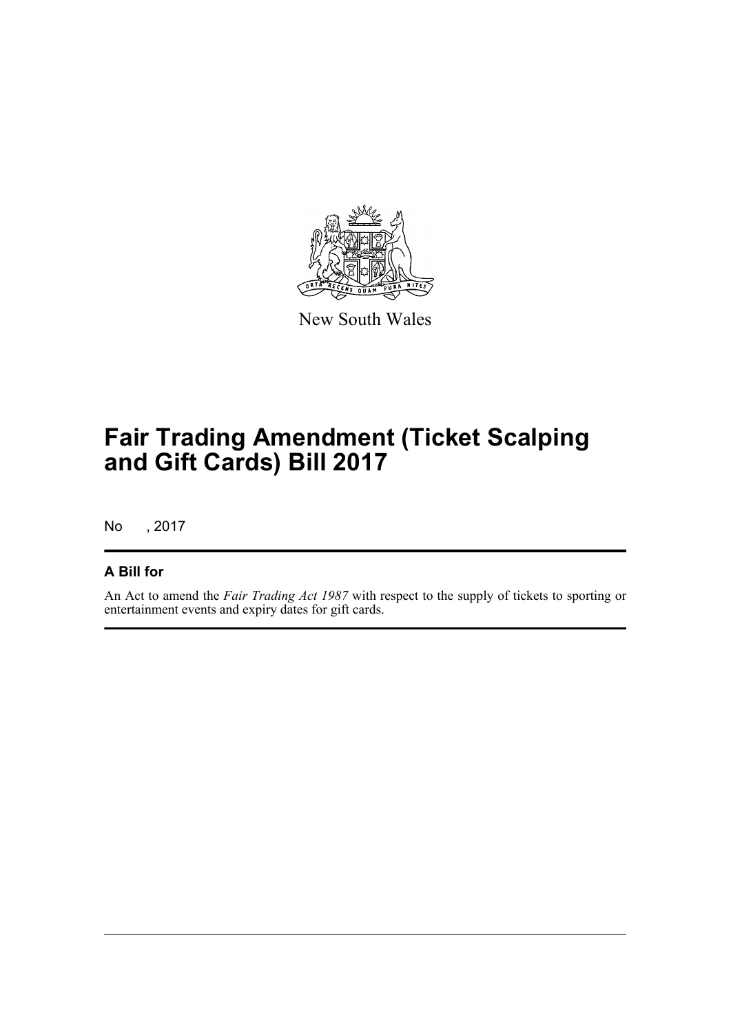

New South Wales

# **Fair Trading Amendment (Ticket Scalping and Gift Cards) Bill 2017**

No , 2017

## **A Bill for**

An Act to amend the *Fair Trading Act 1987* with respect to the supply of tickets to sporting or entertainment events and expiry dates for gift cards.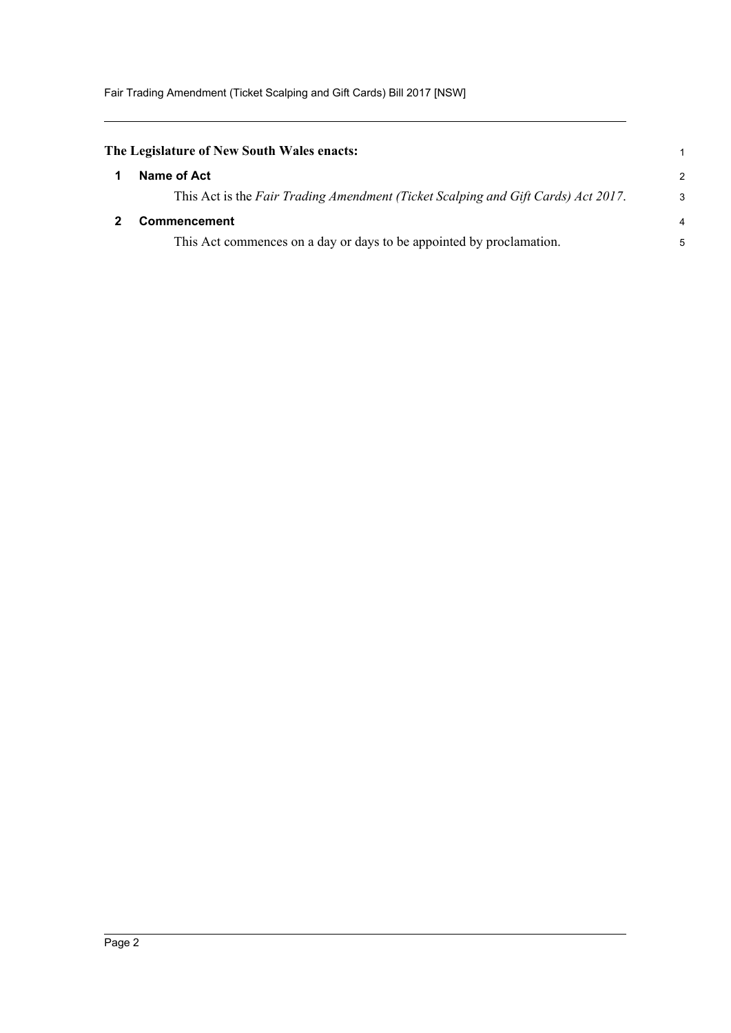<span id="page-5-1"></span><span id="page-5-0"></span>

| The Legislature of New South Wales enacts: |                                                                                   |                |  |
|--------------------------------------------|-----------------------------------------------------------------------------------|----------------|--|
|                                            | Name of Act                                                                       | $\mathcal{P}$  |  |
|                                            | This Act is the Fair Trading Amendment (Ticket Scalping and Gift Cards) Act 2017. | $\mathcal{S}$  |  |
|                                            | <b>Commencement</b>                                                               | $\overline{4}$ |  |
|                                            | This Act commences on a day or days to be appointed by proclamation.              | 5              |  |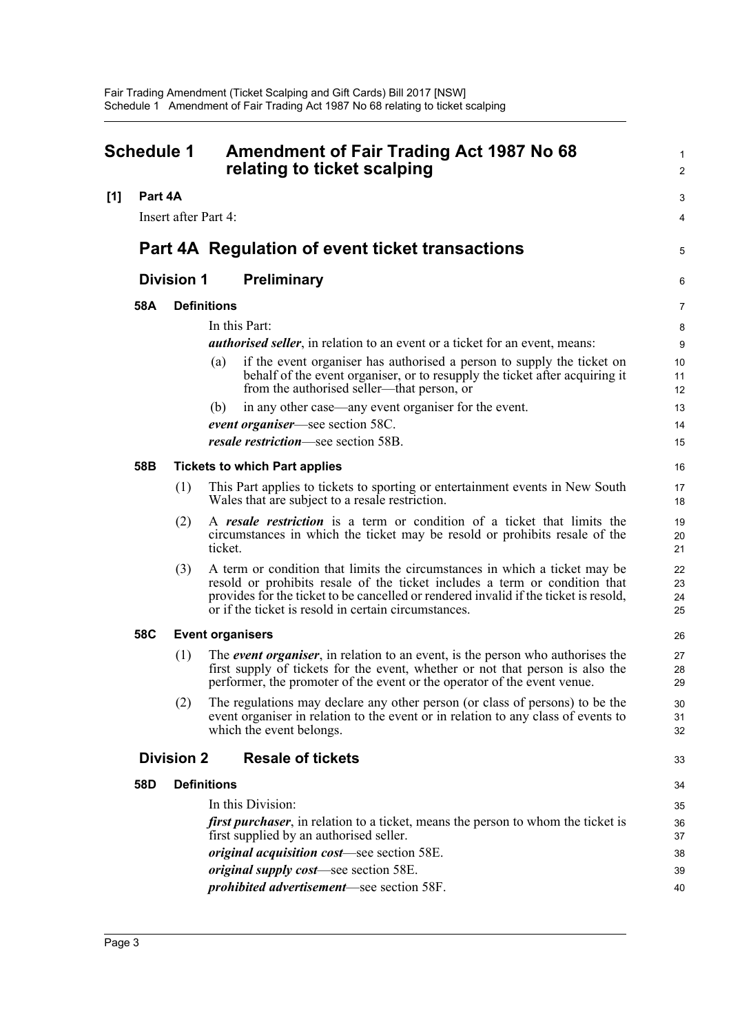<span id="page-6-0"></span>

| <b>Schedule 1</b> |         |                      | <b>Amendment of Fair Trading Act 1987 No 68</b><br>relating to ticket scalping                                                                                                                                                                                                                           |                      |
|-------------------|---------|----------------------|----------------------------------------------------------------------------------------------------------------------------------------------------------------------------------------------------------------------------------------------------------------------------------------------------------|----------------------|
| [1]               | Part 4A |                      |                                                                                                                                                                                                                                                                                                          | З                    |
|                   |         | Insert after Part 4: |                                                                                                                                                                                                                                                                                                          | 4                    |
|                   |         |                      | Part 4A Regulation of event ticket transactions                                                                                                                                                                                                                                                          |                      |
|                   |         | <b>Division 1</b>    | <b>Preliminary</b>                                                                                                                                                                                                                                                                                       | Е                    |
|                   | 58A     |                      | <b>Definitions</b>                                                                                                                                                                                                                                                                                       | 7                    |
|                   |         |                      | In this Part:                                                                                                                                                                                                                                                                                            | ε                    |
|                   |         |                      | <b><i>authorised seller</i></b> , in relation to an event or a ticket for an event, means:                                                                                                                                                                                                               | ς                    |
|                   |         |                      | if the event organiser has authorised a person to supply the ticket on<br>(a)<br>behalf of the event organiser, or to resupply the ticket after acquiring it<br>from the authorised seller—that person, or                                                                                               | 10<br>11<br>12       |
|                   |         |                      | in any other case—any event organiser for the event.<br>(b)                                                                                                                                                                                                                                              | 13                   |
|                   |         |                      | event organiser—see section 58C.                                                                                                                                                                                                                                                                         | 14                   |
|                   |         |                      | resale restriction—see section 58B.                                                                                                                                                                                                                                                                      | 15                   |
|                   | 58B     |                      | <b>Tickets to which Part applies</b>                                                                                                                                                                                                                                                                     | 16                   |
|                   |         | (1)                  | This Part applies to tickets to sporting or entertainment events in New South<br>Wales that are subject to a resale restriction.                                                                                                                                                                         | 17<br>18             |
|                   |         | (2)                  | A resale restriction is a term or condition of a ticket that limits the<br>circumstances in which the ticket may be resold or prohibits resale of the<br>ticket.                                                                                                                                         | 19<br>20<br>21       |
|                   |         | (3)                  | A term or condition that limits the circumstances in which a ticket may be<br>resold or prohibits resale of the ticket includes a term or condition that<br>provides for the ticket to be cancelled or rendered invalid if the ticket is resold,<br>or if the ticket is resold in certain circumstances. | 22<br>23<br>24<br>25 |
|                   | 58C     |                      | <b>Event organisers</b>                                                                                                                                                                                                                                                                                  | 26                   |
|                   |         | (1)                  | The event organiser, in relation to an event, is the person who authorises the<br>first supply of tickets for the event, whether or not that person is also the<br>performer, the promoter of the event or the operator of the event venue.                                                              | 27<br>28<br>29       |
|                   |         | (2)                  | The regulations may declare any other person (or class of persons) to be the<br>event organiser in relation to the event or in relation to any class of events to<br>which the event belongs.                                                                                                            | 30<br>31<br>32       |
|                   |         | <b>Division 2</b>    | <b>Resale of tickets</b>                                                                                                                                                                                                                                                                                 | 33                   |
|                   | 58D     |                      | <b>Definitions</b>                                                                                                                                                                                                                                                                                       | 34                   |
|                   |         |                      | In this Division:                                                                                                                                                                                                                                                                                        | 35                   |
|                   |         |                      | <i>first purchaser</i> , in relation to a ticket, means the person to whom the ticket is<br>first supplied by an authorised seller.                                                                                                                                                                      | 36<br>37             |
|                   |         |                      | <i>original acquisition cost</i> —see section 58E.                                                                                                                                                                                                                                                       | 38                   |
|                   |         |                      | <i>original supply cost</i> —see section 58E.                                                                                                                                                                                                                                                            | 39                   |
|                   |         |                      | prohibited advertisement-see section 58F.                                                                                                                                                                                                                                                                | 40                   |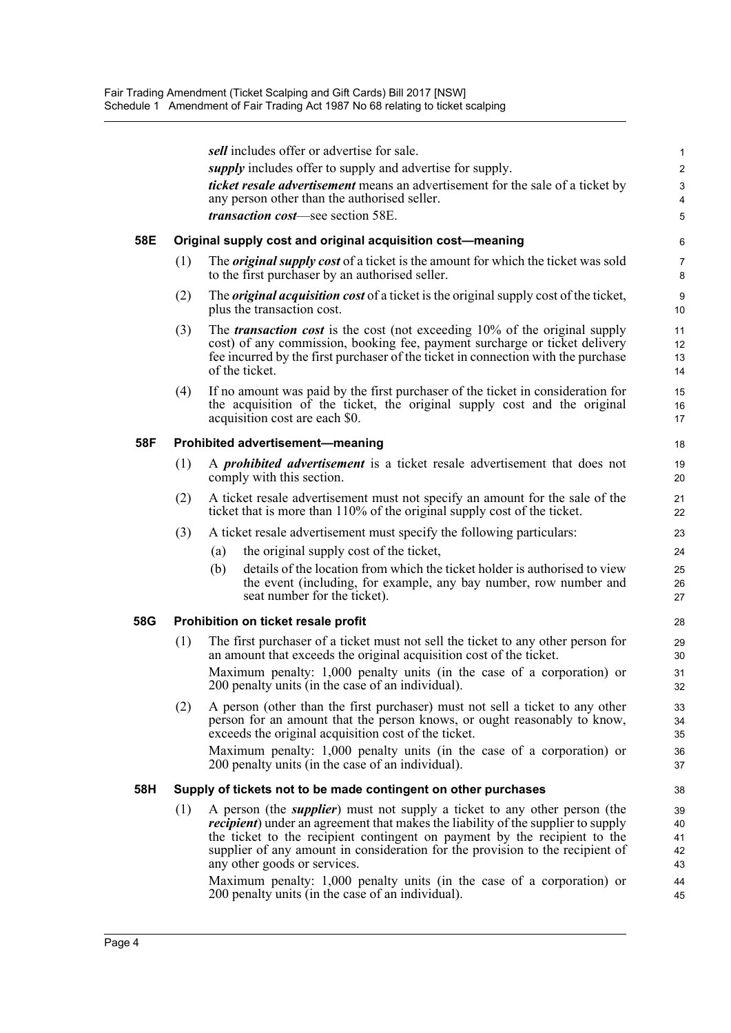|     |     | sell includes offer or advertise for sale.                                                                                                                                                                                                                                                                                                                                  | 1                                           |
|-----|-----|-----------------------------------------------------------------------------------------------------------------------------------------------------------------------------------------------------------------------------------------------------------------------------------------------------------------------------------------------------------------------------|---------------------------------------------|
|     |     | supply includes offer to supply and advertise for supply.                                                                                                                                                                                                                                                                                                                   | $\overline{c}$                              |
|     |     | <i>ticket resale advertisement</i> means an advertisement for the sale of a ticket by<br>any person other than the authorised seller.                                                                                                                                                                                                                                       | $\ensuremath{\mathsf{3}}$<br>$\overline{4}$ |
|     |     | <i>transaction cost</i> —see section 58E.                                                                                                                                                                                                                                                                                                                                   | 5                                           |
| 58E |     | Original supply cost and original acquisition cost-meaning                                                                                                                                                                                                                                                                                                                  | 6                                           |
|     | (1) | The <i>original supply cost</i> of a ticket is the amount for which the ticket was sold<br>to the first purchaser by an authorised seller.                                                                                                                                                                                                                                  | $\overline{7}$<br>8                         |
|     | (2) | The <i>original acquisition cost</i> of a ticket is the original supply cost of the ticket,<br>plus the transaction cost.                                                                                                                                                                                                                                                   | 9<br>10                                     |
|     | (3) | The <i>transaction cost</i> is the cost (not exceeding 10% of the original supply<br>cost) of any commission, booking fee, payment surcharge or ticket delivery<br>fee incurred by the first purchaser of the ticket in connection with the purchase<br>of the ticket.                                                                                                      | 11<br>12<br>13<br>14                        |
|     | (4) | If no amount was paid by the first purchaser of the ticket in consideration for<br>the acquisition of the ticket, the original supply cost and the original<br>acquisition cost are each \$0.                                                                                                                                                                               | 15<br>16<br>17                              |
| 58F |     | <b>Prohibited advertisement-meaning</b>                                                                                                                                                                                                                                                                                                                                     | 18                                          |
|     | (1) | A <i>prohibited advertisement</i> is a ticket resale advertisement that does not<br>comply with this section.                                                                                                                                                                                                                                                               | 19<br>20                                    |
|     | (2) | A ticket resale advertisement must not specify an amount for the sale of the<br>ticket that is more than 110% of the original supply cost of the ticket.                                                                                                                                                                                                                    | 21<br>22                                    |
|     | (3) | A ticket resale advertisement must specify the following particulars:                                                                                                                                                                                                                                                                                                       | 23                                          |
|     |     | the original supply cost of the ticket,<br>(a)                                                                                                                                                                                                                                                                                                                              | 24                                          |
|     |     | details of the location from which the ticket holder is authorised to view<br>(b)<br>the event (including, for example, any bay number, row number and<br>seat number for the ticket).                                                                                                                                                                                      | 25<br>26<br>27                              |
| 58G |     | Prohibition on ticket resale profit                                                                                                                                                                                                                                                                                                                                         | 28                                          |
|     | (1) | The first purchaser of a ticket must not sell the ticket to any other person for<br>an amount that exceeds the original acquisition cost of the ticket.                                                                                                                                                                                                                     | 29<br>30                                    |
|     |     | Maximum penalty: 1,000 penalty units (in the case of a corporation) or<br>200 penalty units (in the case of an individual).                                                                                                                                                                                                                                                 | 31<br>32                                    |
|     | (2) | A person (other than the first purchaser) must not sell a ticket to any other<br>person for an amount that the person knows, or ought reasonably to know,<br>exceeds the original acquisition cost of the ticket.                                                                                                                                                           | 33<br>34<br>35                              |
|     |     | Maximum penalty: 1,000 penalty units (in the case of a corporation) or<br>200 penalty units (in the case of an individual).                                                                                                                                                                                                                                                 | 36<br>37                                    |
| 58H |     | Supply of tickets not to be made contingent on other purchases                                                                                                                                                                                                                                                                                                              | 38                                          |
|     | (1) | A person (the <i>supplier</i> ) must not supply a ticket to any other person (the<br><i>recipient</i> ) under an agreement that makes the liability of the supplier to supply<br>the ticket to the recipient contingent on payment by the recipient to the<br>supplier of any amount in consideration for the provision to the recipient of<br>any other goods or services. | 39<br>40<br>41<br>42<br>43                  |
|     |     | Maximum penalty: 1,000 penalty units (in the case of a corporation) or<br>200 penalty units (in the case of an individual).                                                                                                                                                                                                                                                 | 44<br>45                                    |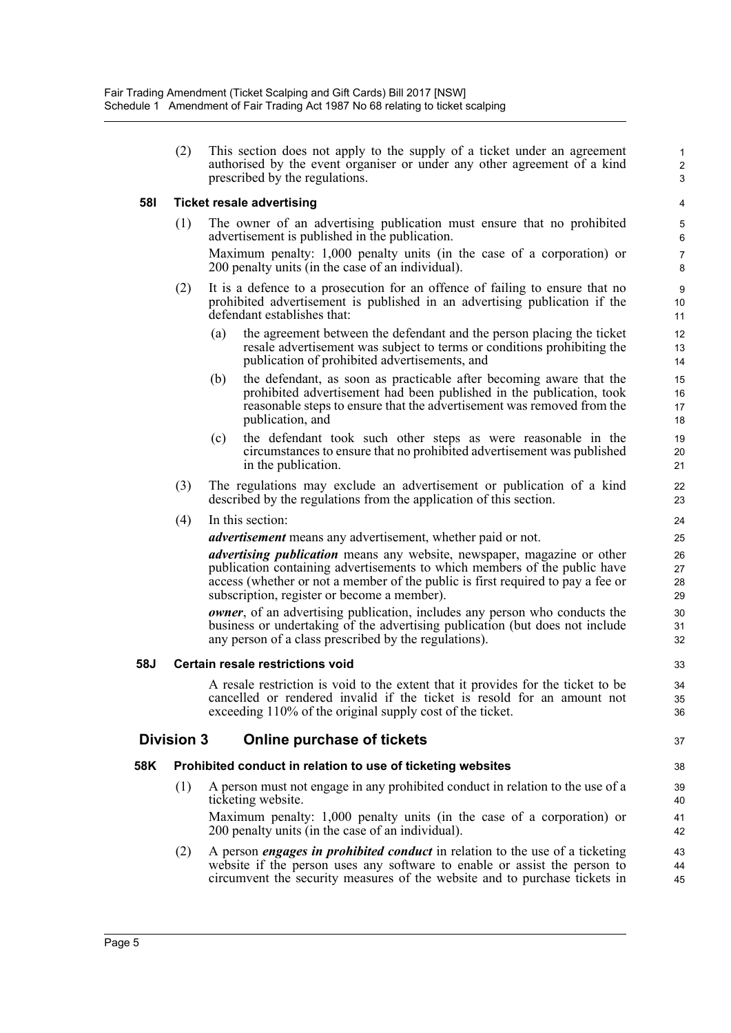(2) This section does not apply to the supply of a ticket under an agreement authorised by the event organiser or under any other agreement of a kind prescribed by the regulations.

37

### **58I Ticket resale advertising**

(1) The owner of an advertising publication must ensure that no prohibited advertisement is published in the publication. Maximum penalty: 1,000 penalty units (in the case of a corporation) or

200 penalty units (in the case of an individual).

- (2) It is a defence to a prosecution for an offence of failing to ensure that no prohibited advertisement is published in an advertising publication if the defendant establishes that:
	- (a) the agreement between the defendant and the person placing the ticket resale advertisement was subject to terms or conditions prohibiting the publication of prohibited advertisements, and
	- (b) the defendant, as soon as practicable after becoming aware that the prohibited advertisement had been published in the publication, took reasonable steps to ensure that the advertisement was removed from the publication, and
	- (c) the defendant took such other steps as were reasonable in the circumstances to ensure that no prohibited advertisement was published in the publication.
- (3) The regulations may exclude an advertisement or publication of a kind described by the regulations from the application of this section.

### (4) In this section:

*advertisement* means any advertisement, whether paid or not.

*advertising publication* means any website, newspaper, magazine or other publication containing advertisements to which members of the public have access (whether or not a member of the public is first required to pay a fee or subscription, register or become a member).

*owner*, of an advertising publication, includes any person who conducts the business or undertaking of the advertising publication (but does not include any person of a class prescribed by the regulations).

### **58J Certain resale restrictions void**

A resale restriction is void to the extent that it provides for the ticket to be cancelled or rendered invalid if the ticket is resold for an amount not exceeding 110% of the original supply cost of the ticket.

## **Division 3 Online purchase of tickets**

### **58K Prohibited conduct in relation to use of ticketing websites**

(1) A person must not engage in any prohibited conduct in relation to the use of a ticketing website. Maximum penalty: 1,000 penalty units (in the case of a corporation) or

200 penalty units (in the case of an individual).

(2) A person *engages in prohibited conduct* in relation to the use of a ticketing website if the person uses any software to enable or assist the person to circumvent the security measures of the website and to purchase tickets in 43 44 45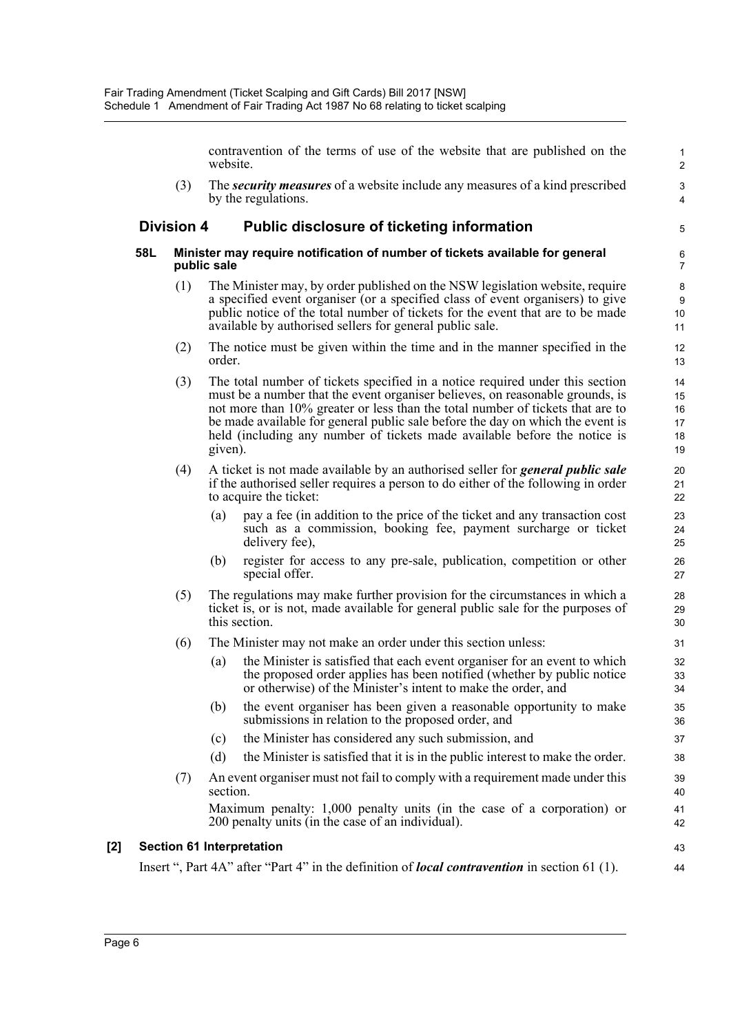contravention of the terms of use of the website that are published on the website.

5

43 44

(3) The *security measures* of a website include any measures of a kind prescribed by the regulations.

## **Division 4 Public disclosure of ticketing information**

#### **58L Minister may require notification of number of tickets available for general public sale**

- (1) The Minister may, by order published on the NSW legislation website, require a specified event organiser (or a specified class of event organisers) to give public notice of the total number of tickets for the event that are to be made available by authorised sellers for general public sale.
- (2) The notice must be given within the time and in the manner specified in the order.
- (3) The total number of tickets specified in a notice required under this section must be a number that the event organiser believes, on reasonable grounds, is not more than 10% greater or less than the total number of tickets that are to be made available for general public sale before the day on which the event is held (including any number of tickets made available before the notice is given).
- (4) A ticket is not made available by an authorised seller for *general public sale* if the authorised seller requires a person to do either of the following in order to acquire the ticket:
	- (a) pay a fee (in addition to the price of the ticket and any transaction cost such as a commission, booking fee, payment surcharge or ticket delivery fee),
	- (b) register for access to any pre-sale, publication, competition or other special offer.
- (5) The regulations may make further provision for the circumstances in which a ticket is, or is not, made available for general public sale for the purposes of this section.
- (6) The Minister may not make an order under this section unless:
	- (a) the Minister is satisfied that each event organiser for an event to which the proposed order applies has been notified (whether by public notice or otherwise) of the Minister's intent to make the order, and
	- (b) the event organiser has been given a reasonable opportunity to make submissions in relation to the proposed order, and
	- (c) the Minister has considered any such submission, and
	- (d) the Minister is satisfied that it is in the public interest to make the order.
- (7) An event organiser must not fail to comply with a requirement made under this section.

Maximum penalty: 1,000 penalty units (in the case of a corporation) or 200 penalty units (in the case of an individual).

### **[2] Section 61 Interpretation**

Insert ", Part 4A" after "Part 4" in the definition of *local contravention* in section 61 (1).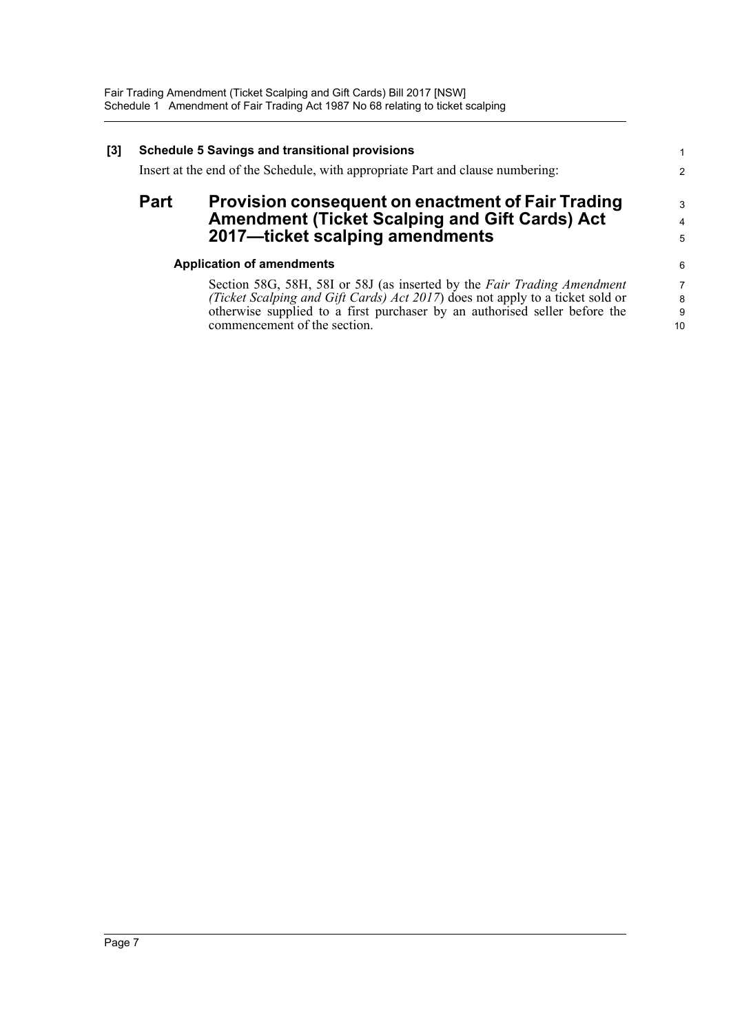| $[3]$ | <b>Schedule 5 Savings and transitional provisions</b><br>Insert at the end of the Schedule, with appropriate Part and clause numbering: |                                                                                                                                                                                                                                                                        |                                |
|-------|-----------------------------------------------------------------------------------------------------------------------------------------|------------------------------------------------------------------------------------------------------------------------------------------------------------------------------------------------------------------------------------------------------------------------|--------------------------------|
|       | <b>Part</b>                                                                                                                             | Provision consequent on enactment of Fair Trading<br><b>Amendment (Ticket Scalping and Gift Cards) Act</b><br>2017-ticket scalping amendments                                                                                                                          | 3<br>$\overline{4}$<br>5       |
|       |                                                                                                                                         | <b>Application of amendments</b>                                                                                                                                                                                                                                       | 6                              |
|       |                                                                                                                                         | Section 58G, 58H, 58I or 58J (as inserted by the Fair Trading Amendment<br>(Ticket Scalping and Gift Cards) Act 2017) does not apply to a ticket sold or<br>otherwise supplied to a first purchaser by an authorised seller before the<br>commencement of the section. | $\overline{7}$<br>8<br>9<br>10 |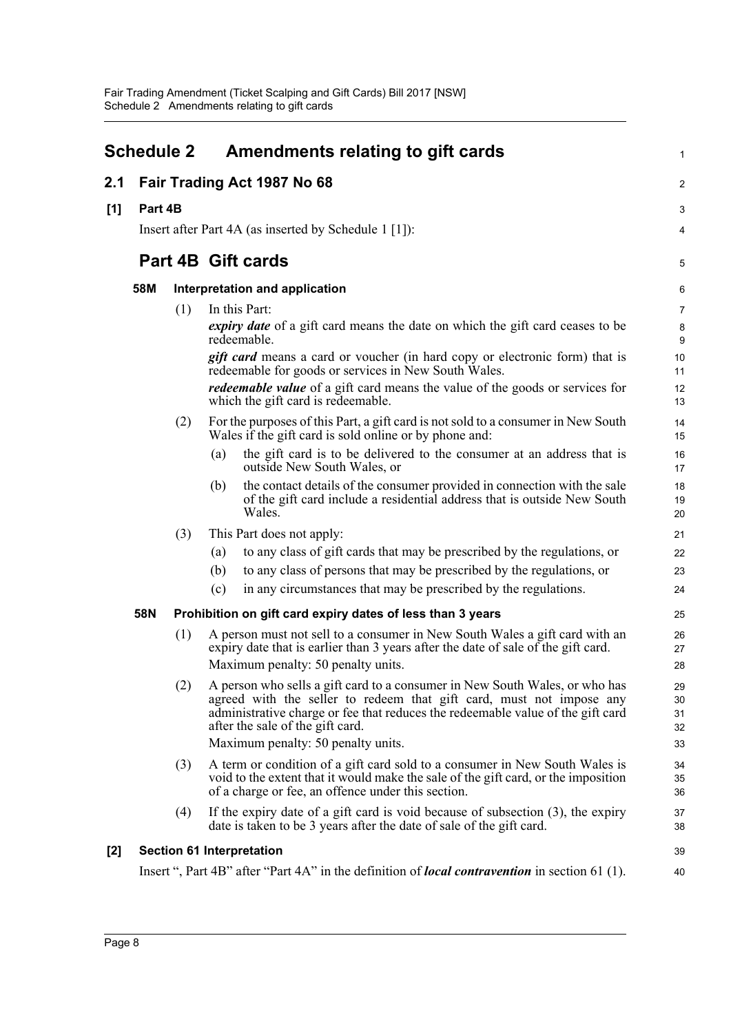|       | <b>Schedule 2</b>           |     |     | Amendments relating to gift cards                                                                                                                                                                                                                                                                                | $\mathbf{1}$               |
|-------|-----------------------------|-----|-----|------------------------------------------------------------------------------------------------------------------------------------------------------------------------------------------------------------------------------------------------------------------------------------------------------------------|----------------------------|
| 2.1   | Fair Trading Act 1987 No 68 |     |     |                                                                                                                                                                                                                                                                                                                  |                            |
| [1]   | Part 4B                     |     |     |                                                                                                                                                                                                                                                                                                                  | 3                          |
|       |                             |     |     | Insert after Part 4A (as inserted by Schedule 1 [1]):                                                                                                                                                                                                                                                            | 4                          |
|       |                             |     |     | <b>Part 4B Gift cards</b>                                                                                                                                                                                                                                                                                        | 5                          |
|       | 58M                         |     |     | Interpretation and application                                                                                                                                                                                                                                                                                   | 6                          |
|       |                             | (1) |     | In this Part:                                                                                                                                                                                                                                                                                                    | $\overline{7}$             |
|       |                             |     |     | <i>expiry date</i> of a gift card means the date on which the gift card ceases to be<br>redeemable.                                                                                                                                                                                                              | 8<br>9                     |
|       |                             |     |     | <b>gift card</b> means a card or voucher (in hard copy or electronic form) that is<br>redeemable for goods or services in New South Wales.                                                                                                                                                                       | 10<br>11                   |
|       |                             |     |     | <i>redeemable value</i> of a gift card means the value of the goods or services for<br>which the gift card is redeemable.                                                                                                                                                                                        | 12<br>13                   |
|       |                             | (2) |     | For the purposes of this Part, a gift card is not sold to a consumer in New South<br>Wales if the gift card is sold online or by phone and:                                                                                                                                                                      | 14<br>15                   |
|       |                             |     | (a) | the gift card is to be delivered to the consumer at an address that is<br>outside New South Wales, or                                                                                                                                                                                                            | 16<br>17                   |
|       |                             |     | (b) | the contact details of the consumer provided in connection with the sale<br>of the gift card include a residential address that is outside New South<br>Wales.                                                                                                                                                   | 18<br>19<br>20             |
|       |                             | (3) |     | This Part does not apply:                                                                                                                                                                                                                                                                                        | 21                         |
|       |                             |     | (a) | to any class of gift cards that may be prescribed by the regulations, or                                                                                                                                                                                                                                         | 22                         |
|       |                             |     | (b) | to any class of persons that may be prescribed by the regulations, or                                                                                                                                                                                                                                            | 23                         |
|       |                             |     | (c) | in any circumstances that may be prescribed by the regulations.                                                                                                                                                                                                                                                  | 24                         |
|       | 58N                         |     |     | Prohibition on gift card expiry dates of less than 3 years                                                                                                                                                                                                                                                       | 25                         |
|       |                             | (1) |     | A person must not sell to a consumer in New South Wales a gift card with an<br>expiry date that is earlier than 3 years after the date of sale of the gift card.<br>Maximum penalty: 50 penalty units.                                                                                                           | 26<br>27<br>28             |
|       |                             | (2) |     | A person who sells a gift card to a consumer in New South Wales, or who has<br>agreed with the seller to redeem that gift card, must not impose any<br>administrative charge or fee that reduces the redeemable value of the gift card<br>after the sale of the gift card.<br>Maximum penalty: 50 penalty units. | 29<br>30<br>31<br>32<br>33 |
|       |                             | (3) |     | A term or condition of a gift card sold to a consumer in New South Wales is<br>void to the extent that it would make the sale of the gift card, or the imposition<br>of a charge or fee, an offence under this section.                                                                                          | 34<br>35<br>36             |
|       |                             | (4) |     | If the expiry date of a gift card is void because of subsection $(3)$ , the expiry<br>date is taken to be 3 years after the date of sale of the gift card.                                                                                                                                                       | 37<br>38                   |
| $[2]$ |                             |     |     | <b>Section 61 Interpretation</b>                                                                                                                                                                                                                                                                                 | 39                         |
|       |                             |     |     | Insert ", Part 4B" after "Part 4A" in the definition of <i>local contravention</i> in section 61 (1).                                                                                                                                                                                                            | 40                         |